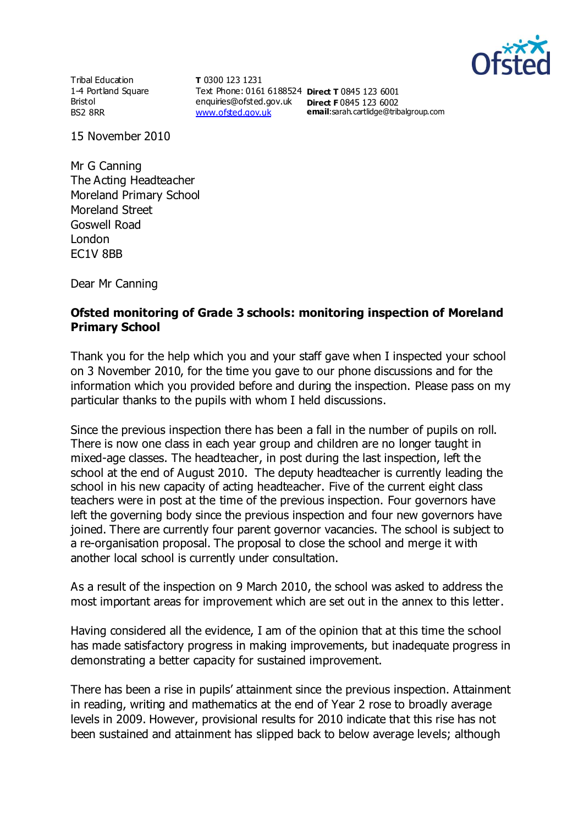

Tribal Education 1-4 Portland Square Bristol BS2 8RR

**T** 0300 123 1231 Text Phone: 0161 6188524 **Direct T** 0845 123 6001 enquiries@ofsted.gov.uk **Direct F** 0845 123 6002 [www.ofsted.gov.uk](http://www.ofsted.gov.uk/)

**email**:sarah.cartlidge@tribalgroup.com

15 November 2010

Mr G Canning The Acting Headteacher Moreland Primary School Moreland Street Goswell Road London EC1V 8BB

Dear Mr Canning

## **Ofsted monitoring of Grade 3 schools: monitoring inspection of Moreland Primary School**

Thank you for the help which you and your staff gave when I inspected your school on 3 November 2010, for the time you gave to our phone discussions and for the information which you provided before and during the inspection. Please pass on my particular thanks to the pupils with whom I held discussions.

Since the previous inspection there has been a fall in the number of pupils on roll. There is now one class in each year group and children are no longer taught in mixed-age classes. The headteacher, in post during the last inspection, left the school at the end of August 2010. The deputy headteacher is currently leading the school in his new capacity of acting headteacher. Five of the current eight class teachers were in post at the time of the previous inspection. Four governors have left the governing body since the previous inspection and four new governors have joined. There are currently four parent governor vacancies. The school is subject to a re-organisation proposal. The proposal to close the school and merge it with another local school is currently under consultation.

As a result of the inspection on 9 March 2010, the school was asked to address the most important areas for improvement which are set out in the annex to this letter.

Having considered all the evidence, I am of the opinion that at this time the school has made satisfactory progress in making improvements, but inadequate progress in demonstrating a better capacity for sustained improvement.

There has been a rise in pupils' attainment since the previous inspection. Attainment in reading, writing and mathematics at the end of Year 2 rose to broadly average levels in 2009. However, provisional results for 2010 indicate that this rise has not been sustained and attainment has slipped back to below average levels; although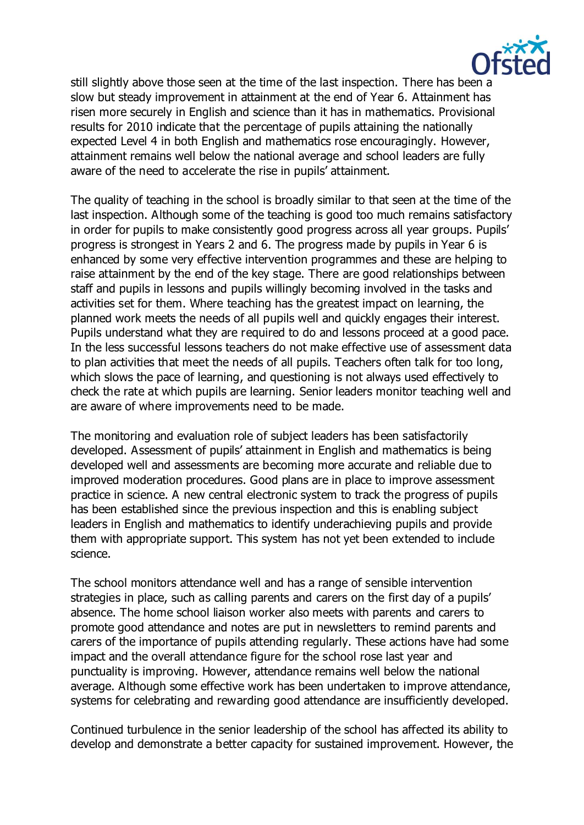

still slightly above those seen at the time of the last inspection. There has been a slow but steady improvement in attainment at the end of Year 6. Attainment has risen more securely in English and science than it has in mathematics. Provisional results for 2010 indicate that the percentage of pupils attaining the nationally expected Level 4 in both English and mathematics rose encouragingly. However, attainment remains well below the national average and school leaders are fully aware of the need to accelerate the rise in pupils' attainment.

The quality of teaching in the school is broadly similar to that seen at the time of the last inspection. Although some of the teaching is good too much remains satisfactory in order for pupils to make consistently good progress across all year groups. Pupils' progress is strongest in Years 2 and 6. The progress made by pupils in Year 6 is enhanced by some very effective intervention programmes and these are helping to raise attainment by the end of the key stage. There are good relationships between staff and pupils in lessons and pupils willingly becoming involved in the tasks and activities set for them. Where teaching has the greatest impact on learning, the planned work meets the needs of all pupils well and quickly engages their interest. Pupils understand what they are required to do and lessons proceed at a good pace. In the less successful lessons teachers do not make effective use of assessment data to plan activities that meet the needs of all pupils. Teachers often talk for too long, which slows the pace of learning, and questioning is not always used effectively to check the rate at which pupils are learning. Senior leaders monitor teaching well and are aware of where improvements need to be made.

The monitoring and evaluation role of subject leaders has been satisfactorily developed. Assessment of pupils' attainment in English and mathematics is being developed well and assessments are becoming more accurate and reliable due to improved moderation procedures. Good plans are in place to improve assessment practice in science. A new central electronic system to track the progress of pupils has been established since the previous inspection and this is enabling subject leaders in English and mathematics to identify underachieving pupils and provide them with appropriate support. This system has not yet been extended to include science.

The school monitors attendance well and has a range of sensible intervention strategies in place, such as calling parents and carers on the first day of a pupils' absence. The home school liaison worker also meets with parents and carers to promote good attendance and notes are put in newsletters to remind parents and carers of the importance of pupils attending regularly. These actions have had some impact and the overall attendance figure for the school rose last year and punctuality is improving. However, attendance remains well below the national average. Although some effective work has been undertaken to improve attendance, systems for celebrating and rewarding good attendance are insufficiently developed.

Continued turbulence in the senior leadership of the school has affected its ability to develop and demonstrate a better capacity for sustained improvement. However, the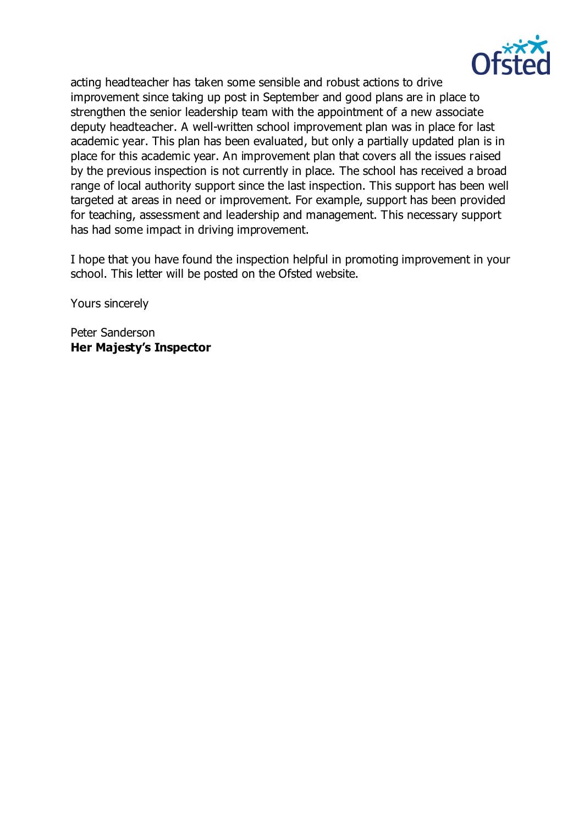

acting headteacher has taken some sensible and robust actions to drive improvement since taking up post in September and good plans are in place to strengthen the senior leadership team with the appointment of a new associate deputy headteacher. A well-written school improvement plan was in place for last academic year. This plan has been evaluated, but only a partially updated plan is in place for this academic year. An improvement plan that covers all the issues raised by the previous inspection is not currently in place. The school has received a broad range of local authority support since the last inspection. This support has been well targeted at areas in need or improvement. For example, support has been provided for teaching, assessment and leadership and management. This necessary support has had some impact in driving improvement.

I hope that you have found the inspection helpful in promoting improvement in your school. This letter will be posted on the Ofsted website.

Yours sincerely

Peter Sanderson **Her Majesty's Inspector**